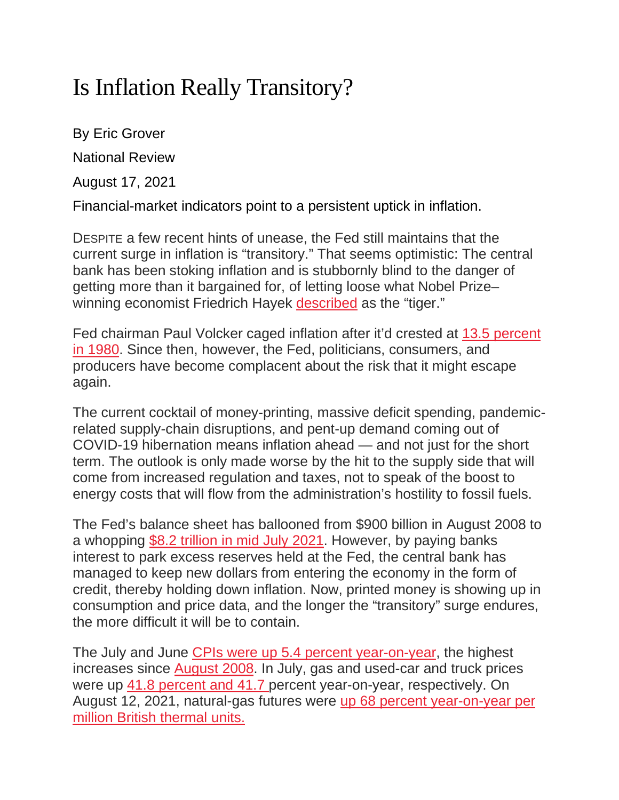## Is Inflation Really Transitory?

By Eric Grover National Review

August 17, 2021

Financial-market indicators point to a persistent uptick in inflation.

DESPITE a few recent hints of unease, the Fed still maintains that the current surge in inflation is "transitory." That seems optimistic: The central bank has been stoking inflation and is stubbornly blind to the danger of getting more than it bargained for, of letting loose what Nobel Prize– winning economist Friedrich Hayek [described](https://www.nationalreview.com/2021/06/hayeks-tiger/) as the "tiger."

Fed chairman Paul Volcker caged inflation after it'd crested at 13.5 [percent](https://fred.stlouisfed.org/series/FPCPITOTLZGUSA) in [1980.](https://fred.stlouisfed.org/series/FPCPITOTLZGUSA) Since then, however, the Fed, politicians, consumers, and producers have become complacent about the risk that it might escape again.

The current cocktail of money-printing, massive deficit spending, pandemicrelated supply-chain disruptions, and pent-up demand coming out of COVID-19 hibernation means inflation ahead — and not just for the short term. The outlook is only made worse by the hit to the supply side that will come from increased regulation and taxes, not to speak of the boost to energy costs that will flow from the administration's hostility to fossil fuels.

The Fed's balance sheet has ballooned from \$900 billion in August 2008 to a whopping \$8.2 [trillion](https://fred.stlouisfed.org/series/WALCL) in mid July 2021. However, by paying banks interest to park excess reserves held at the Fed, the central bank has managed to keep new dollars from entering the economy in the form of credit, thereby holding down inflation. Now, printed money is showing up in consumption and price data, and the longer the "transitory" surge endures, the more difficult it will be to contain.

The July and June CPIs were up 5.4 percent [year-on-year,](https://www.bls.gov/news.release/cpi.t01.htm) the highest increases since [August](https://www.bls.gov/news.release/pdf/cpi.pdf) 2008. In July, gas and used-car and truck prices were up 41.8 [percent](https://www.bls.gov/news.release/pdf/cpi.pdf) and 41.7 percent year-on-year, respectively. On August 12, 2021, natural-gas futures were up 68 percent [year-on-year](https://tradingeconomics.com/commodity/natural-gas) per million British [thermal](https://tradingeconomics.com/commodity/natural-gas) units.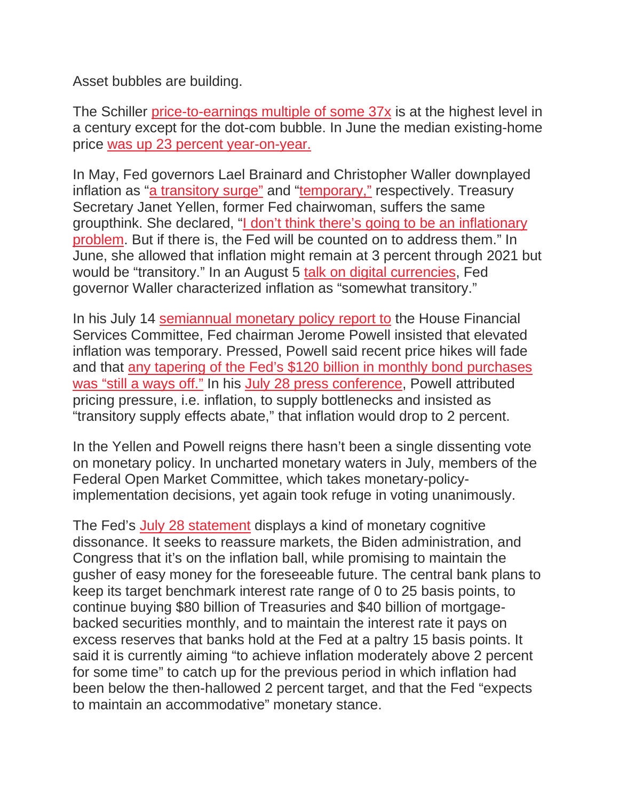Asset bubbles are building.

The Schiller [price-to-earnings](https://www.multpl.com/shiller-pe) multiple of some 37x is at the highest level in a century except for the dot-com bubble. In June the median existing-home price was up 23 percent [year-on-year.](https://www.nar.realtor/newsroom/existing-home-sales-expand-1-4-in-june)

In May, Fed governors Lael Brainard and Christopher Waller downplayed inflation as "a [transitory](https://www.ft.com/content/98c211f4-f097-4ee6-b9da-593422b6a539) surge" and ["temporary,"](https://www.wsj.com/articles/feds-waller-says-inflation-jump-likely-temporary-urges-patience-11620925660) respectively. Treasury Secretary Janet Yellen, former Fed chairwoman, suffers the same groupthink. She declared, "I don't think there's going to be an [inflationary](https://www.reuters.com/world/us/treasurys-yellen-interest-rates-may-need-rise-modestly-2021-05-04/) [problem.](https://www.reuters.com/world/us/treasurys-yellen-interest-rates-may-need-rise-modestly-2021-05-04/) But if there is, the Fed will be counted on to address them." In June, she allowed that inflation might remain at 3 percent through 2021 but would be "transitory." In an August 5 talk on digital [currencies,](https://www.aei.org/events/should-the-fed-launch-a-digital-currency-a-speech-by-federal-reserve-governor-christopher-waller/) Fed governor Waller characterized inflation as "somewhat transitory."

In his July 14 [semiannual](https://www.federalreserve.gov/newsevents/testimony/powell20210714a.htm) monetary policy report to the House Financial Services Committee, Fed chairman Jerome Powell insisted that elevated inflation was temporary. Pressed, Powell said recent price hikes will fade and that any tapering of the Fed's \$120 billion in monthly bond [purchases](https://www.reuters.com/business/finance/higher-inflation-virus-risks-follow-feds-powell-congress-2021-07-14/) was "still a [ways](https://www.reuters.com/business/finance/higher-inflation-virus-risks-follow-feds-powell-congress-2021-07-14/) off." In his July 28 press [conference,](https://www.federalreserve.gov/mediacenter/files/FOMCpresconf20210728.pdf) Powell attributed pricing pressure, i.e. inflation, to supply bottlenecks and insisted as "transitory supply effects abate," that inflation would drop to 2 percent.

In the Yellen and Powell reigns there hasn't been a single dissenting vote on monetary policy. In uncharted monetary waters in July, members of the Federal Open Market Committee, which takes monetary-policyimplementation decisions, yet again took refuge in voting unanimously.

The Fed's July 28 [statement](https://www.federalreserve.gov/monetarypolicy/files/monetary20210728a1.pdf) displays a kind of monetary cognitive dissonance. It seeks to reassure markets, the Biden administration, and Congress that it's on the inflation ball, while promising to maintain the gusher of easy money for the foreseeable future. The central bank plans to keep its target benchmark interest rate range of 0 to 25 basis points, to continue buying \$80 billion of Treasuries and \$40 billion of mortgagebacked securities monthly, and to maintain the interest rate it pays on excess reserves that banks hold at the Fed at a paltry 15 basis points. It said it is currently aiming "to achieve inflation moderately above 2 percent for some time" to catch up for the previous period in which inflation had been below the then-hallowed 2 percent target, and that the Fed "expects to maintain an accommodative" monetary stance.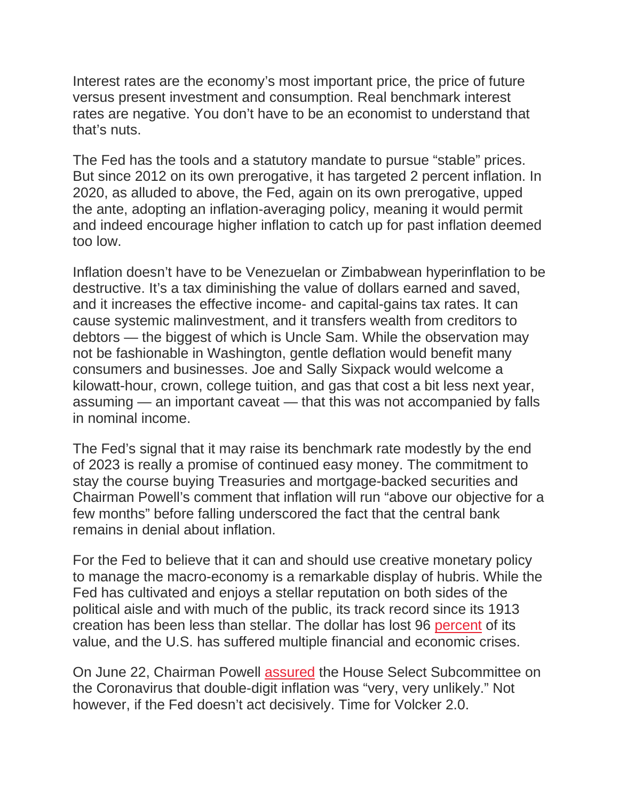Interest rates are the economy's most important price, the price of future versus present investment and consumption. Real benchmark interest rates are negative. You don't have to be an economist to understand that that's nuts.

The Fed has the tools and a statutory mandate to pursue "stable" prices. But since 2012 on its own prerogative, it has targeted 2 percent inflation. In 2020, as alluded to above, the Fed, again on its own prerogative, upped the ante, adopting an inflation-averaging policy, meaning it would permit and indeed encourage higher inflation to catch up for past inflation deemed too low.

Inflation doesn't have to be Venezuelan or Zimbabwean hyperinflation to be destructive. It's a tax diminishing the value of dollars earned and saved, and it increases the effective income- and capital-gains tax rates. It can cause systemic malinvestment, and it transfers wealth from creditors to debtors — the biggest of which is Uncle Sam. While the observation may not be fashionable in Washington, gentle deflation would benefit many consumers and businesses. Joe and Sally Sixpack would welcome a kilowatt-hour, crown, college tuition, and gas that cost a bit less next year, assuming — an important caveat — that this was not accompanied by falls in nominal income.

The Fed's signal that it may raise its benchmark rate modestly by the end of 2023 is really a promise of continued easy money. The commitment to stay the course buying Treasuries and mortgage-backed securities and Chairman Powell's comment that inflation will run "above our objective for a few months" before falling underscored the fact that the central bank remains in denial about inflation.

For the Fed to believe that it can and should use creative monetary policy to manage the macro-economy is a remarkable display of hubris. While the Fed has cultivated and enjoys a stellar reputation on both sides of the political aisle and with much of the public, its track record since its 1913 creation has been less than stellar. The dollar has lost 96 [percent](https://www.officialdata.org/us/inflation/2021?endYear=1913&amount=1) of its value, and the U.S. has suffered multiple financial and economic crises.

On June 22, Chairman Powell [assured](https://www.cnbc.com/2021/06/22/feds-powell-very-very-unlikely-the-us-will-see-1970s-style-inflation.html) the House Select Subcommittee on the Coronavirus that double-digit inflation was "very, very unlikely." Not however, if the Fed doesn't act decisively. Time for Volcker 2.0.